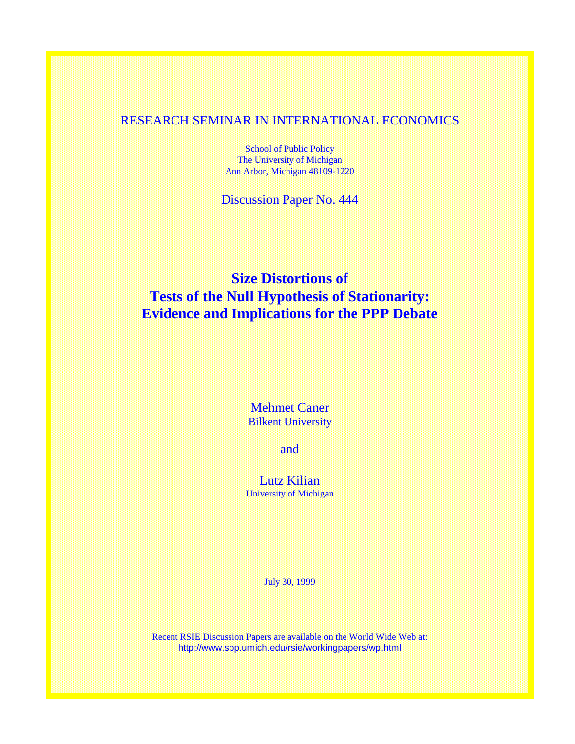## RESEARCH SEMINAR IN INTERNATIONAL ECONOMICS

School of Public Policy The University of Michigan Ann Arbor, Michigan 48109-1220

Discussion Paper No. 444

## **Size Distortions of Tests of the Null Hypothesis of Stationarity: Evidence and Implications for the PPP Debate**

Mehmet Caner Bilkent University

and

Lutz Kilian University of Michigan

July 30, 1999

Recent RSIE Discussion Papers are available on the World Wide Web at: http://www.spp.umich.edu/rsie/workingpapers/wp.html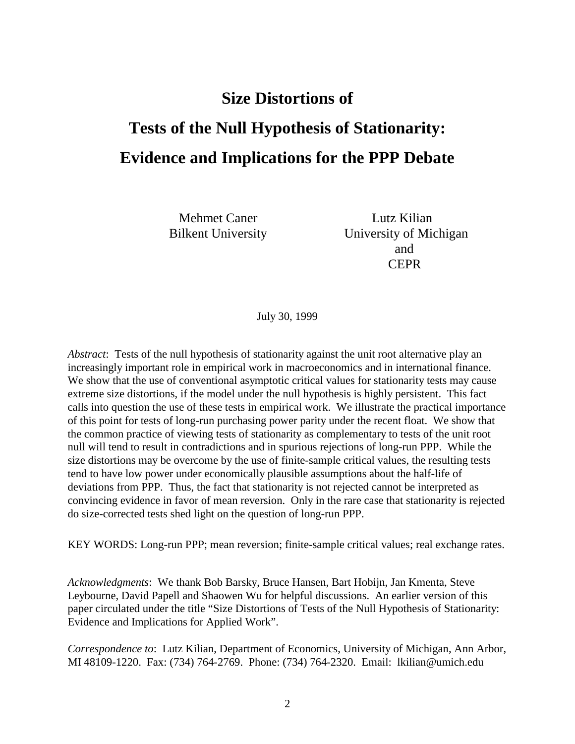# **Size Distortions of**

# **Tests of the Null Hypothesis of Stationarity: Evidence and Implications for the PPP Debate**

Mehmet Caner Lutz Kilian

Bilkent University University of Michigan and **CEPR** 

July 30, 1999

*Abstract*: Tests of the null hypothesis of stationarity against the unit root alternative play an increasingly important role in empirical work in macroeconomics and in international finance. We show that the use of conventional asymptotic critical values for stationarity tests may cause extreme size distortions, if the model under the null hypothesis is highly persistent. This fact calls into question the use of these tests in empirical work. We illustrate the practical importance of this point for tests of long-run purchasing power parity under the recent float. We show that the common practice of viewing tests of stationarity as complementary to tests of the unit root null will tend to result in contradictions and in spurious rejections of long-run PPP. While the size distortions may be overcome by the use of finite-sample critical values, the resulting tests tend to have low power under economically plausible assumptions about the half-life of deviations from PPP. Thus, the fact that stationarity is not rejected cannot be interpreted as convincing evidence in favor of mean reversion. Only in the rare case that stationarity is rejected do size-corrected tests shed light on the question of long-run PPP.

KEY WORDS: Long-run PPP; mean reversion; finite-sample critical values; real exchange rates.

*Acknowledgments*: We thank Bob Barsky, Bruce Hansen, Bart Hobijn, Jan Kmenta, Steve Leybourne, David Papell and Shaowen Wu for helpful discussions. An earlier version of this paper circulated under the title "Size Distortions of Tests of the Null Hypothesis of Stationarity: Evidence and Implications for Applied Work".

*Correspondence to*: Lutz Kilian, Department of Economics, University of Michigan, Ann Arbor, MI 48109-1220. Fax: (734) 764-2769. Phone: (734) 764-2320. Email: lkilian@umich.edu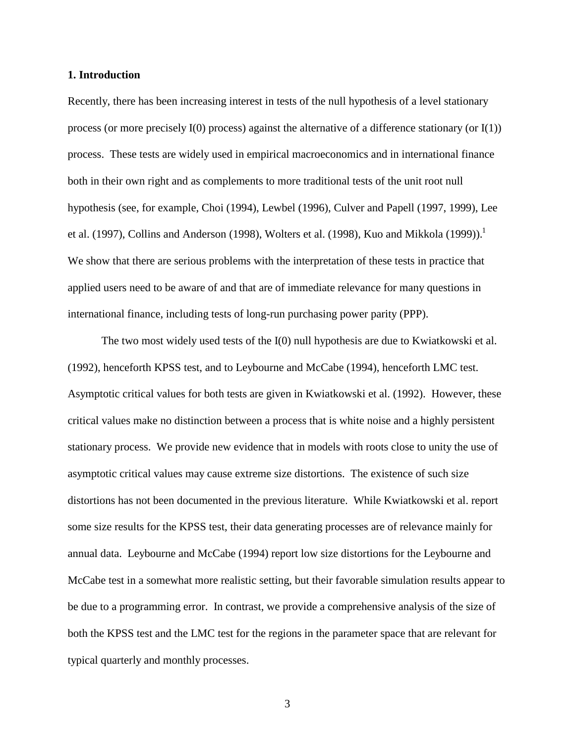#### **1. Introduction**

Recently, there has been increasing interest in tests of the null hypothesis of a level stationary process (or more precisely  $I(0)$  process) against the alternative of a difference stationary (or  $I(1)$ ) process. These tests are widely used in empirical macroeconomics and in international finance both in their own right and as complements to more traditional tests of the unit root null hypothesis (see, for example, Choi (1994), Lewbel (1996), Culver and Papell (1997, 1999), Lee et al. (1997), Collins and Anderson (1998), Wolters et al. (1998), Kuo and Mikkola (1999)).<sup>1</sup> We show that there are serious problems with the interpretation of these tests in practice that applied users need to be aware of and that are of immediate relevance for many questions in international finance, including tests of long-run purchasing power parity (PPP).

The two most widely used tests of the I(0) null hypothesis are due to Kwiatkowski et al. (1992), henceforth KPSS test, and to Leybourne and McCabe (1994), henceforth LMC test. Asymptotic critical values for both tests are given in Kwiatkowski et al. (1992). However, these critical values make no distinction between a process that is white noise and a highly persistent stationary process. We provide new evidence that in models with roots close to unity the use of asymptotic critical values may cause extreme size distortions. The existence of such size distortions has not been documented in the previous literature. While Kwiatkowski et al. report some size results for the KPSS test, their data generating processes are of relevance mainly for annual data. Leybourne and McCabe (1994) report low size distortions for the Leybourne and McCabe test in a somewhat more realistic setting, but their favorable simulation results appear to be due to a programming error. In contrast, we provide a comprehensive analysis of the size of both the KPSS test and the LMC test for the regions in the parameter space that are relevant for typical quarterly and monthly processes.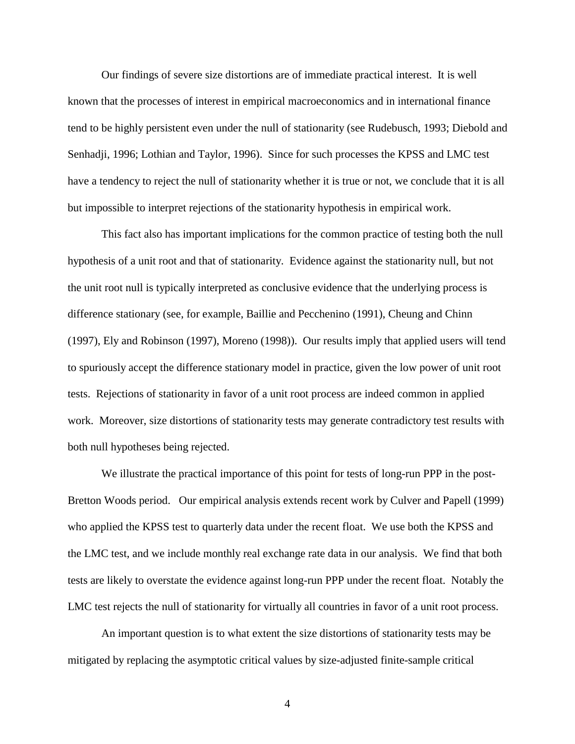Our findings of severe size distortions are of immediate practical interest. It is well known that the processes of interest in empirical macroeconomics and in international finance tend to be highly persistent even under the null of stationarity (see Rudebusch, 1993; Diebold and Senhadji, 1996; Lothian and Taylor, 1996). Since for such processes the KPSS and LMC test have a tendency to reject the null of stationarity whether it is true or not, we conclude that it is all but impossible to interpret rejections of the stationarity hypothesis in empirical work.

This fact also has important implications for the common practice of testing both the null hypothesis of a unit root and that of stationarity. Evidence against the stationarity null, but not the unit root null is typically interpreted as conclusive evidence that the underlying process is difference stationary (see, for example, Baillie and Pecchenino (1991), Cheung and Chinn (1997), Ely and Robinson (1997), Moreno (1998)). Our results imply that applied users will tend to spuriously accept the difference stationary model in practice, given the low power of unit root tests. Rejections of stationarity in favor of a unit root process are indeed common in applied work. Moreover, size distortions of stationarity tests may generate contradictory test results with both null hypotheses being rejected.

We illustrate the practical importance of this point for tests of long-run PPP in the post-Bretton Woods period. Our empirical analysis extends recent work by Culver and Papell (1999) who applied the KPSS test to quarterly data under the recent float. We use both the KPSS and the LMC test, and we include monthly real exchange rate data in our analysis. We find that both tests are likely to overstate the evidence against long-run PPP under the recent float. Notably the LMC test rejects the null of stationarity for virtually all countries in favor of a unit root process.

An important question is to what extent the size distortions of stationarity tests may be mitigated by replacing the asymptotic critical values by size-adjusted finite-sample critical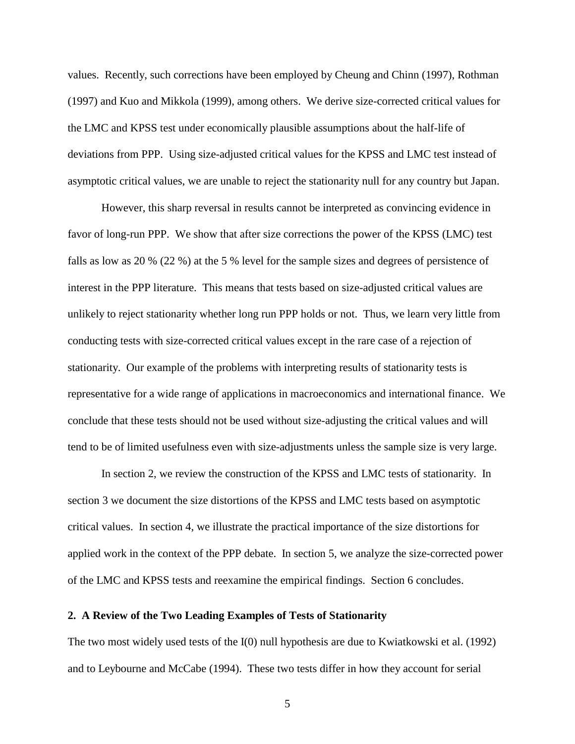values. Recently, such corrections have been employed by Cheung and Chinn (1997), Rothman (1997) and Kuo and Mikkola (1999), among others. We derive size-corrected critical values for the LMC and KPSS test under economically plausible assumptions about the half-life of deviations from PPP. Using size-adjusted critical values for the KPSS and LMC test instead of asymptotic critical values, we are unable to reject the stationarity null for any country but Japan.

However, this sharp reversal in results cannot be interpreted as convincing evidence in favor of long-run PPP. We show that after size corrections the power of the KPSS (LMC) test falls as low as 20 % (22 %) at the 5 % level for the sample sizes and degrees of persistence of interest in the PPP literature. This means that tests based on size-adjusted critical values are unlikely to reject stationarity whether long run PPP holds or not. Thus, we learn very little from conducting tests with size-corrected critical values except in the rare case of a rejection of stationarity. Our example of the problems with interpreting results of stationarity tests is representative for a wide range of applications in macroeconomics and international finance. We conclude that these tests should not be used without size-adjusting the critical values and will tend to be of limited usefulness even with size-adjustments unless the sample size is very large.

In section 2, we review the construction of the KPSS and LMC tests of stationarity. In section 3 we document the size distortions of the KPSS and LMC tests based on asymptotic critical values. In section 4, we illustrate the practical importance of the size distortions for applied work in the context of the PPP debate. In section 5, we analyze the size-corrected power of the LMC and KPSS tests and reexamine the empirical findings. Section 6 concludes.

#### **2. A Review of the Two Leading Examples of Tests of Stationarity**

The two most widely used tests of the I(0) null hypothesis are due to Kwiatkowski et al. (1992) and to Leybourne and McCabe (1994). These two tests differ in how they account for serial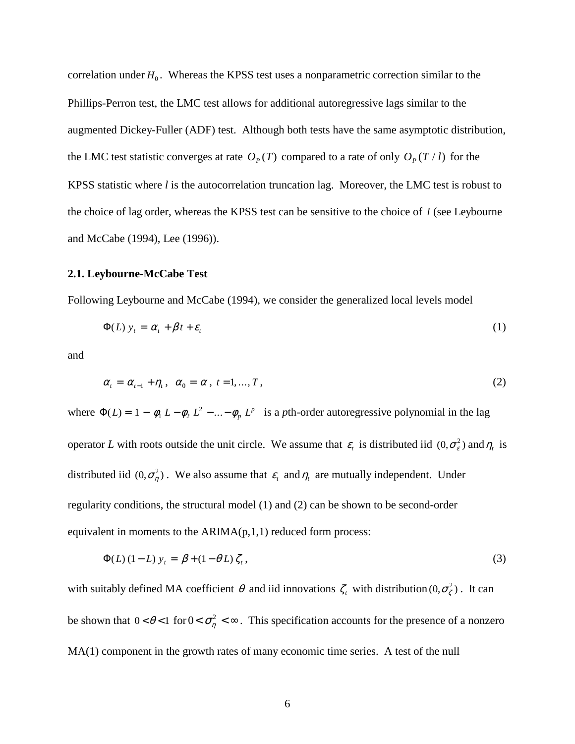correlation under  $H_0$ . Whereas the KPSS test uses a nonparametric correction similar to the Phillips-Perron test, the LMC test allows for additional autoregressive lags similar to the augmented Dickey-Fuller (ADF) test. Although both tests have the same asymptotic distribution, the LMC test statistic converges at rate  $O_p(T)$  compared to a rate of only  $O_p(T/l)$  for the KPSS statistic where *l* is the autocorrelation truncation lag. Moreover, the LMC test is robust to the choice of lag order, whereas the KPSS test can be sensitive to the choice of *l* (see Leybourne and McCabe (1994), Lee (1996)).

#### **2.1. Leybourne-McCabe Test**

Following Leybourne and McCabe (1994), we consider the generalized local levels model

$$
\Phi(L) y_t = \alpha_t + \beta t + \varepsilon_t \tag{1}
$$

and

$$
\alpha_t = \alpha_{t-1} + \eta_t, \quad \alpha_0 = \alpha, \quad t = 1, \dots, T,
$$
\n
$$
(2)
$$

where  $\Phi(L) = 1 - \phi_1 L - \phi_2 L^2 - ... - \phi_p L^p$  is a *p*th-order autoregressive polynomial in the lag operator *L* with roots outside the unit circle. We assume that  $\varepsilon_t$  is distributed iid  $(0, \sigma_{\varepsilon}^2)$  and  $\eta_t$  is distributed iid  $(0, \sigma_n^2)$ . We also assume that  $\varepsilon_t$  and  $\eta_t$  are mutually independent. Under regularity conditions, the structural model (1) and (2) can be shown to be second-order equivalent in moments to the  $ARIMA(p,1,1)$  reduced form process:

$$
\Phi(L) (1 - L) y_t = \beta + (1 - \theta L) \zeta_t, \qquad (3)
$$

with suitably defined MA coefficient  $\theta$  and iid innovations  $\zeta_t$  with distribution  $(0, \sigma_\zeta^2)$ . It can be shown that  $0 < \theta < 1$  for  $0 < \sigma_{\eta}^2 < \infty$ . This specification accounts for the presence of a nonzero MA(1) component in the growth rates of many economic time series. A test of the null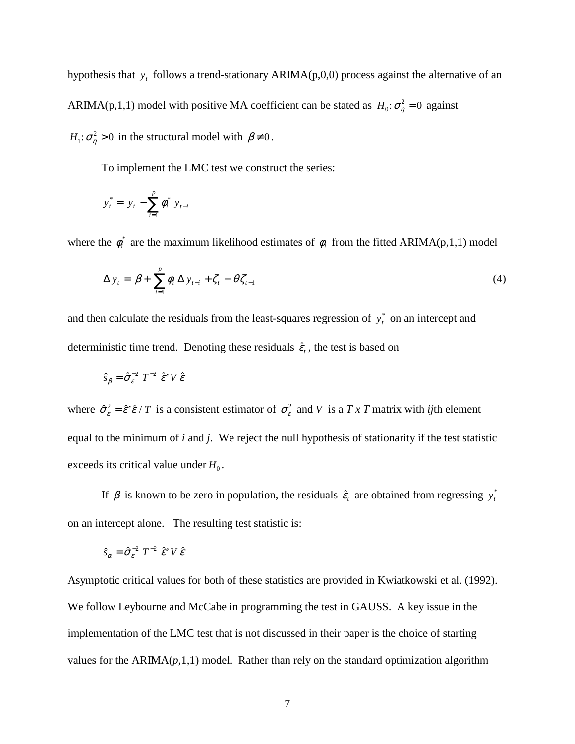hypothesis that *y<sub>t</sub>* follows a trend-stationary ARIMA(p,0,0) process against the alternative of an ARIMA(p,1,1) model with positive MA coefficient can be stated as  $H_0: \sigma_\eta^2 = 0$  against  $H_1$ :  $\sigma_{\eta}^2 > 0$  in the structural model with  $\beta \neq 0$ .

To implement the LMC test we construct the series:

$$
y_t^* = y_t - \sum_{i=1}^p \phi_i^* y_{t-i}
$$

where the  $\phi_i^*$  are the maximum likelihood estimates of  $\phi_i$  from the fitted ARIMA(p,1,1) model

$$
\Delta y_t = \beta + \sum_{i=1}^p \phi_i \, \Delta y_{t-i} + \zeta_t - \theta \, \zeta_{t-1} \tag{4}
$$

and then calculate the residuals from the least-squares regression of  $y_t^*$  on an intercept and deterministic time trend. Denoting these residuals  $\hat{\varepsilon}_t$ , the test is based on

$$
\hat{s}_{\beta} = \hat{\sigma}_{\varepsilon}^{-2} T^{-2} \hat{\varepsilon}^* V \hat{\varepsilon}
$$

where  $\hat{\sigma}_{\varepsilon}^2 = \hat{\varepsilon}' \hat{\varepsilon} / T$  is a consistent estimator of  $\sigma_{\varepsilon}^2$  and *V* is a *T x T* matrix with *ij*th element equal to the minimum of *i* and *j*. We reject the null hypothesis of stationarity if the test statistic exceeds its critical value under  $H_0$ .

If  $\beta$  is known to be zero in population, the residuals  $\hat{\epsilon}_t$  are obtained from regressing  $y_t^*$ on an intercept alone. The resulting test statistic is:

$$
\hat{s}_{\alpha} = \hat{\sigma}_{\varepsilon}^{-2} T^{-2} \hat{\varepsilon}^{\prime} V \hat{\varepsilon}
$$

Asymptotic critical values for both of these statistics are provided in Kwiatkowski et al. (1992). We follow Leybourne and McCabe in programming the test in GAUSS. A key issue in the implementation of the LMC test that is not discussed in their paper is the choice of starting values for the  $ARIMA(p,1,1)$  model. Rather than rely on the standard optimization algorithm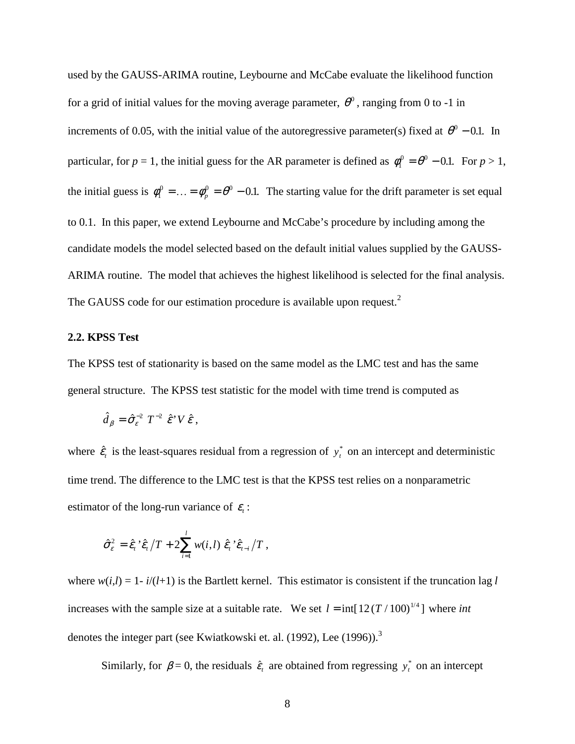used by the GAUSS-ARIMA routine, Leybourne and McCabe evaluate the likelihood function for a grid of initial values for the moving average parameter,  $\theta^0$ , ranging from 0 to -1 in increments of 0.05, with the initial value of the autoregressive parameter(s) fixed at  $\theta^0$  – 0.1. In particular, for  $p = 1$ , the initial guess for the AR parameter is defined as  $\phi_1^0 = \theta_1^0 - 0.1$ . For  $p > 1$ , the initial guess is  $\phi_1^0 = ... = \phi_p^0 = \theta^0 - 0.1$ . The starting value for the drift parameter is set equal to 0.1. In this paper, we extend Leybourne and McCabe's procedure by including among the candidate models the model selected based on the default initial values supplied by the GAUSS-ARIMA routine. The model that achieves the highest likelihood is selected for the final analysis. The GAUSS code for our estimation procedure is available upon request.<sup>2</sup>

#### **2.2. KPSS Test**

The KPSS test of stationarity is based on the same model as the LMC test and has the same general structure. The KPSS test statistic for the model with time trend is computed as

$$
\hat{d}_{\beta} = \hat{\sigma}_{\varepsilon}^{-2} T^{-2} \hat{\varepsilon} V \hat{\varepsilon},
$$

where  $\hat{\epsilon}_t$  is the least-squares residual from a regression of  $y_t^*$  on an intercept and deterministic time trend. The difference to the LMC test is that the KPSS test relies on a nonparametric estimator of the long-run variance of  $\varepsilon$ .

$$
\hat{\sigma}_{\varepsilon}^2 = \hat{\varepsilon}_t \, \hat{\varepsilon}_t / T + 2 \sum_{i=1}^l w(i,l) \, \hat{\varepsilon}_t \, \hat{\varepsilon}_{t-i} / T \,,
$$

where  $w(i,l) = 1 - i/(l+1)$  is the Bartlett kernel. This estimator is consistent if the truncation lag *l* increases with the sample size at a suitable rate. We set  $l = \text{int}[12(T/100)^{1/4}]$  where *int* denotes the integer part (see Kwiatkowski et. al. (1992), Lee (1996)).<sup>3</sup>

Similarly, for  $\beta = 0$ , the residuals  $\hat{\epsilon}_t$  are obtained from regressing  $y_t^*$  on an intercept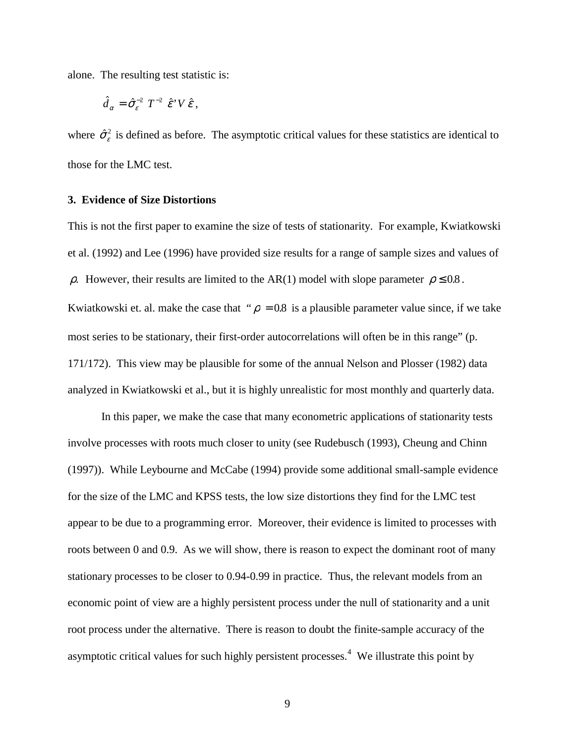alone. The resulting test statistic is:

$$
\hat{d}_{\alpha} = \hat{\sigma}_{\varepsilon}^{-2} T^{-2} \hat{\varepsilon}^{\prime} V \hat{\varepsilon},
$$

where  $\hat{\sigma}_{\varepsilon}^2$  is defined as before. The asymptotic critical values for these statistics are identical to those for the LMC test.

#### **3. Evidence of Size Distortions**

This is not the first paper to examine the size of tests of stationarity. For example, Kwiatkowski et al. (1992) and Lee (1996) have provided size results for a range of sample sizes and values of ρ. However, their results are limited to the AR(1) model with slope parameter  $ρ ≤ 0.8$ . Kwiatkowski et. al. make the case that " $\rho = 0.8$  is a plausible parameter value since, if we take most series to be stationary, their first-order autocorrelations will often be in this range" (p. 171/172). This view may be plausible for some of the annual Nelson and Plosser (1982) data analyzed in Kwiatkowski et al., but it is highly unrealistic for most monthly and quarterly data.

In this paper, we make the case that many econometric applications of stationarity tests involve processes with roots much closer to unity (see Rudebusch (1993), Cheung and Chinn (1997)). While Leybourne and McCabe (1994) provide some additional small-sample evidence for the size of the LMC and KPSS tests, the low size distortions they find for the LMC test appear to be due to a programming error. Moreover, their evidence is limited to processes with roots between 0 and 0.9. As we will show, there is reason to expect the dominant root of many stationary processes to be closer to 0.94-0.99 in practice. Thus, the relevant models from an economic point of view are a highly persistent process under the null of stationarity and a unit root process under the alternative. There is reason to doubt the finite-sample accuracy of the asymptotic critical values for such highly persistent processes. $4$  We illustrate this point by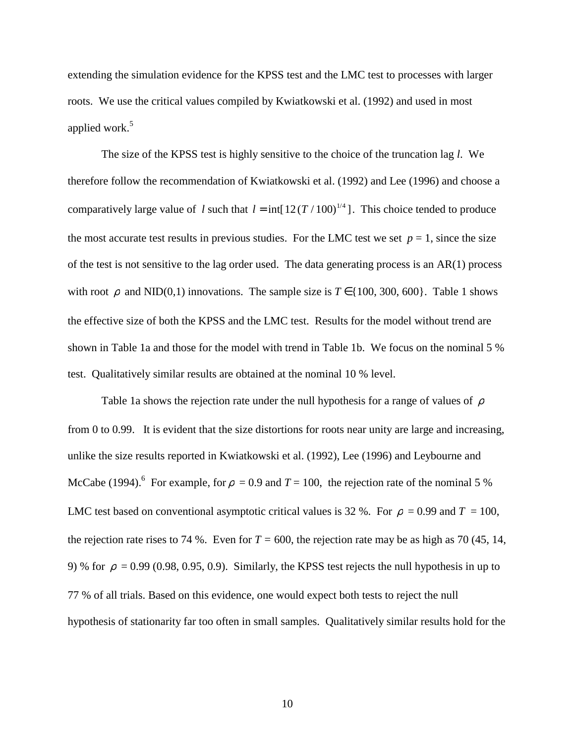extending the simulation evidence for the KPSS test and the LMC test to processes with larger roots. We use the critical values compiled by Kwiatkowski et al. (1992) and used in most applied work.<sup>5</sup>

The size of the KPSS test is highly sensitive to the choice of the truncation lag *l*. We therefore follow the recommendation of Kwiatkowski et al. (1992) and Lee (1996) and choose a comparatively large value of *l* such that  $l = \text{int} [12(T/100)^{1/4}]$ . This choice tended to produce the most accurate test results in previous studies. For the LMC test we set  $p = 1$ , since the size of the test is not sensitive to the lag order used. The data generating process is an AR(1) process with root  $\rho$  and NID(0,1) innovations. The sample size is  $T \in \{100, 300, 600\}$ . Table 1 shows the effective size of both the KPSS and the LMC test. Results for the model without trend are shown in Table 1a and those for the model with trend in Table 1b. We focus on the nominal 5 % test. Qualitatively similar results are obtained at the nominal 10 % level.

Table 1a shows the rejection rate under the null hypothesis for a range of values of  $\rho$ from 0 to 0.99. It is evident that the size distortions for roots near unity are large and increasing, unlike the size results reported in Kwiatkowski et al. (1992), Lee (1996) and Leybourne and McCabe (1994).<sup>6</sup> For example, for  $\rho = 0.9$  and  $T = 100$ , the rejection rate of the nominal 5 % LMC test based on conventional asymptotic critical values is 32 %. For  $\rho = 0.99$  and  $T = 100$ , the rejection rate rises to 74 %. Even for  $T = 600$ , the rejection rate may be as high as 70 (45, 14, 9) % for  $\rho = 0.99$  (0.98, 0.95, 0.9). Similarly, the KPSS test rejects the null hypothesis in up to 77 % of all trials. Based on this evidence, one would expect both tests to reject the null hypothesis of stationarity far too often in small samples. Qualitatively similar results hold for the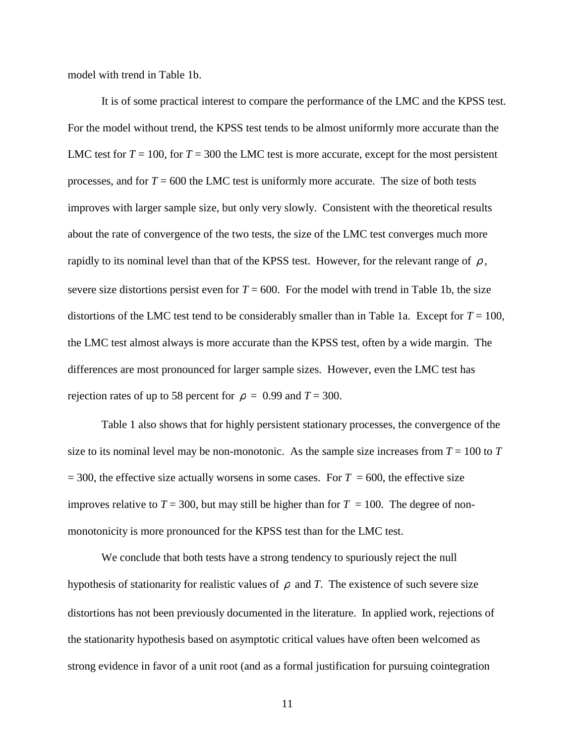model with trend in Table 1b.

It is of some practical interest to compare the performance of the LMC and the KPSS test. For the model without trend, the KPSS test tends to be almost uniformly more accurate than the LMC test for  $T = 100$ , for  $T = 300$  the LMC test is more accurate, except for the most persistent processes, and for  $T = 600$  the LMC test is uniformly more accurate. The size of both tests improves with larger sample size, but only very slowly. Consistent with the theoretical results about the rate of convergence of the two tests, the size of the LMC test converges much more rapidly to its nominal level than that of the KPSS test. However, for the relevant range of  $\rho$ , severe size distortions persist even for  $T = 600$ . For the model with trend in Table 1b, the size distortions of the LMC test tend to be considerably smaller than in Table 1a. Except for  $T = 100$ , the LMC test almost always is more accurate than the KPSS test, often by a wide margin. The differences are most pronounced for larger sample sizes. However, even the LMC test has rejection rates of up to 58 percent for  $\rho = 0.99$  and  $T = 300$ .

Table 1 also shows that for highly persistent stationary processes, the convergence of the size to its nominal level may be non-monotonic. As the sample size increases from  $T = 100$  to  $T$  $= 300$ , the effective size actually worsens in some cases. For  $T = 600$ , the effective size improves relative to  $T = 300$ , but may still be higher than for  $T = 100$ . The degree of nonmonotonicity is more pronounced for the KPSS test than for the LMC test.

We conclude that both tests have a strong tendency to spuriously reject the null hypothesis of stationarity for realistic values of  $\rho$  and *T*. The existence of such severe size distortions has not been previously documented in the literature. In applied work, rejections of the stationarity hypothesis based on asymptotic critical values have often been welcomed as strong evidence in favor of a unit root (and as a formal justification for pursuing cointegration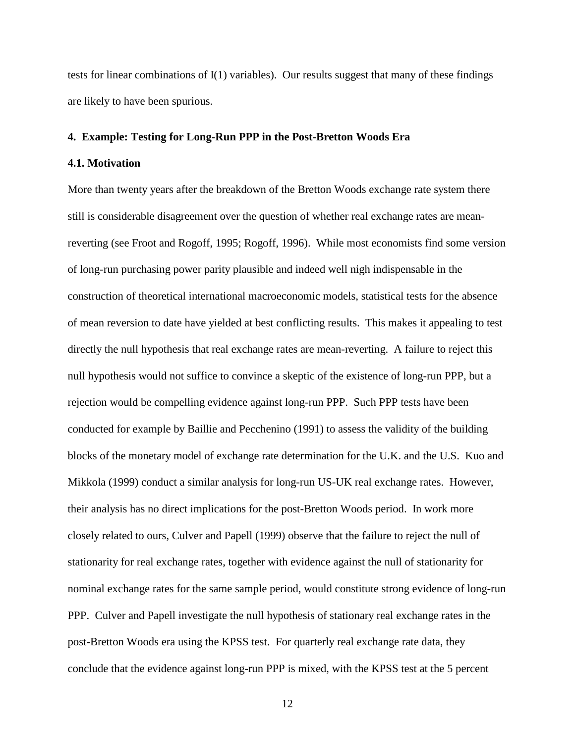tests for linear combinations of I(1) variables). Our results suggest that many of these findings are likely to have been spurious.

#### **4. Example: Testing for Long-Run PPP in the Post-Bretton Woods Era**

#### **4.1. Motivation**

More than twenty years after the breakdown of the Bretton Woods exchange rate system there still is considerable disagreement over the question of whether real exchange rates are meanreverting (see Froot and Rogoff, 1995; Rogoff, 1996). While most economists find some version of long-run purchasing power parity plausible and indeed well nigh indispensable in the construction of theoretical international macroeconomic models, statistical tests for the absence of mean reversion to date have yielded at best conflicting results. This makes it appealing to test directly the null hypothesis that real exchange rates are mean-reverting. A failure to reject this null hypothesis would not suffice to convince a skeptic of the existence of long-run PPP, but a rejection would be compelling evidence against long-run PPP. Such PPP tests have been conducted for example by Baillie and Pecchenino (1991) to assess the validity of the building blocks of the monetary model of exchange rate determination for the U.K. and the U.S. Kuo and Mikkola (1999) conduct a similar analysis for long-run US-UK real exchange rates. However, their analysis has no direct implications for the post-Bretton Woods period. In work more closely related to ours, Culver and Papell (1999) observe that the failure to reject the null of stationarity for real exchange rates, together with evidence against the null of stationarity for nominal exchange rates for the same sample period, would constitute strong evidence of long-run PPP. Culver and Papell investigate the null hypothesis of stationary real exchange rates in the post-Bretton Woods era using the KPSS test. For quarterly real exchange rate data, they conclude that the evidence against long-run PPP is mixed, with the KPSS test at the 5 percent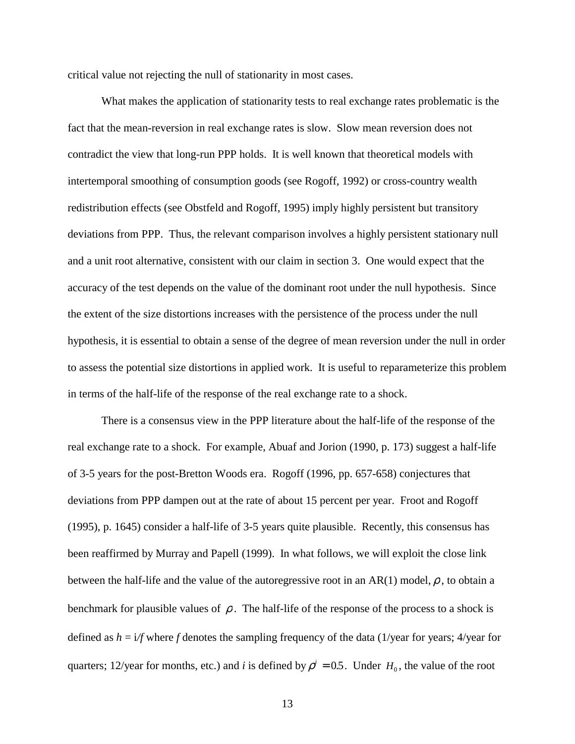critical value not rejecting the null of stationarity in most cases.

What makes the application of stationarity tests to real exchange rates problematic is the fact that the mean-reversion in real exchange rates is slow. Slow mean reversion does not contradict the view that long-run PPP holds. It is well known that theoretical models with intertemporal smoothing of consumption goods (see Rogoff, 1992) or cross-country wealth redistribution effects (see Obstfeld and Rogoff, 1995) imply highly persistent but transitory deviations from PPP. Thus, the relevant comparison involves a highly persistent stationary null and a unit root alternative, consistent with our claim in section 3. One would expect that the accuracy of the test depends on the value of the dominant root under the null hypothesis. Since the extent of the size distortions increases with the persistence of the process under the null hypothesis, it is essential to obtain a sense of the degree of mean reversion under the null in order to assess the potential size distortions in applied work. It is useful to reparameterize this problem in terms of the half-life of the response of the real exchange rate to a shock.

There is a consensus view in the PPP literature about the half-life of the response of the real exchange rate to a shock. For example, Abuaf and Jorion (1990, p. 173) suggest a half-life of 3-5 years for the post-Bretton Woods era. Rogoff (1996, pp. 657-658) conjectures that deviations from PPP dampen out at the rate of about 15 percent per year. Froot and Rogoff (1995), p. 1645) consider a half-life of 3-5 years quite plausible. Recently, this consensus has been reaffirmed by Murray and Papell (1999). In what follows, we will exploit the close link between the half-life and the value of the autoregressive root in an AR(1) model,  $\rho$ , to obtain a benchmark for plausible values of  $\rho$ . The half-life of the response of the process to a shock is defined as  $h = i/f$  where *f* denotes the sampling frequency of the data (1/year for years; 4/year for quarters; 12/year for months, etc.) and *i* is defined by  $\rho^{i} = 0.5$ . Under  $H_0$ , the value of the root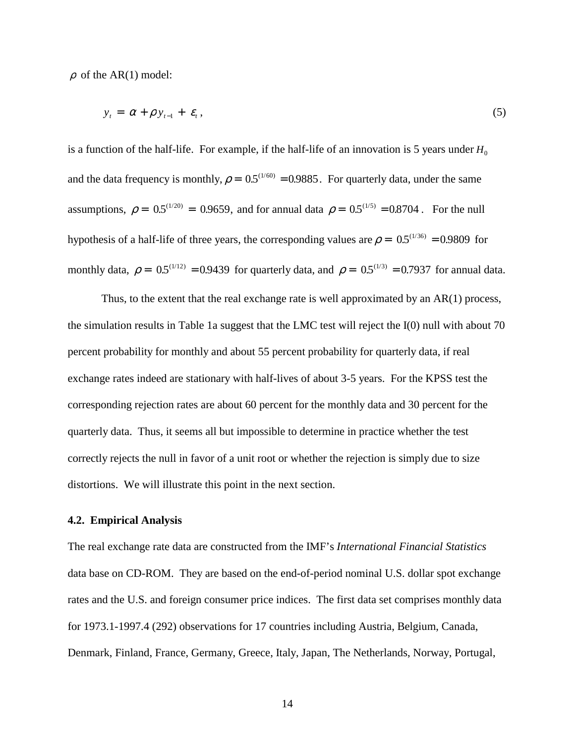$\rho$  of the AR(1) model:

$$
y_t = \alpha + \rho y_{t-1} + \varepsilon_t, \tag{5}
$$

is a function of the half-life. For example, if the half-life of an innovation is 5 years under  $H_0$ and the data frequency is monthly,  $\rho = 0.5^{(1/60)} = 0.9885$ . For quarterly data, under the same assumptions,  $\rho = 0.5(1/20) = 0.9659$ , and for annual data  $\rho = 0.5(1/5) = 0.8704$ . For the null hypothesis of a half-life of three years, the corresponding values are  $\rho = 0.5^{(1/36)} = 0.9809$  for monthly data,  $\rho = 0.5^{(1/12)} = 0.9439$  for quarterly data, and  $\rho = 0.5^{(1/3)} = 0.7937$  for annual data.

Thus, to the extent that the real exchange rate is well approximated by an AR(1) process, the simulation results in Table 1a suggest that the LMC test will reject the I(0) null with about 70 percent probability for monthly and about 55 percent probability for quarterly data, if real exchange rates indeed are stationary with half-lives of about 3-5 years. For the KPSS test the corresponding rejection rates are about 60 percent for the monthly data and 30 percent for the quarterly data. Thus, it seems all but impossible to determine in practice whether the test correctly rejects the null in favor of a unit root or whether the rejection is simply due to size distortions. We will illustrate this point in the next section.

#### **4.2. Empirical Analysis**

The real exchange rate data are constructed from the IMF's *International Financial Statistics* data base on CD-ROM. They are based on the end-of-period nominal U.S. dollar spot exchange rates and the U.S. and foreign consumer price indices. The first data set comprises monthly data for 1973.1-1997.4 (292) observations for 17 countries including Austria, Belgium, Canada, Denmark, Finland, France, Germany, Greece, Italy, Japan, The Netherlands, Norway, Portugal,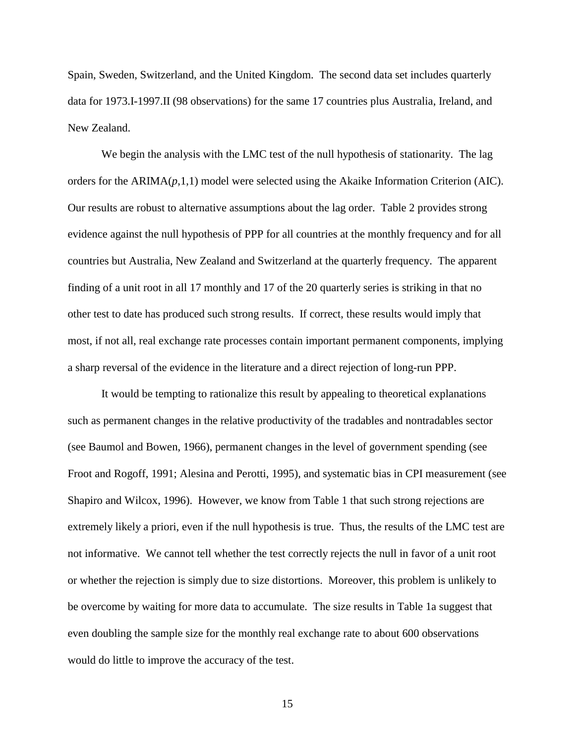Spain, Sweden, Switzerland, and the United Kingdom. The second data set includes quarterly data for 1973.I-1997.II (98 observations) for the same 17 countries plus Australia, Ireland, and New Zealand.

We begin the analysis with the LMC test of the null hypothesis of stationarity. The lag orders for the ARIMA(*p*,1,1) model were selected using the Akaike Information Criterion (AIC). Our results are robust to alternative assumptions about the lag order. Table 2 provides strong evidence against the null hypothesis of PPP for all countries at the monthly frequency and for all countries but Australia, New Zealand and Switzerland at the quarterly frequency. The apparent finding of a unit root in all 17 monthly and 17 of the 20 quarterly series is striking in that no other test to date has produced such strong results. If correct, these results would imply that most, if not all, real exchange rate processes contain important permanent components, implying a sharp reversal of the evidence in the literature and a direct rejection of long-run PPP.

It would be tempting to rationalize this result by appealing to theoretical explanations such as permanent changes in the relative productivity of the tradables and nontradables sector (see Baumol and Bowen, 1966), permanent changes in the level of government spending (see Froot and Rogoff, 1991; Alesina and Perotti, 1995), and systematic bias in CPI measurement (see Shapiro and Wilcox, 1996). However, we know from Table 1 that such strong rejections are extremely likely a priori, even if the null hypothesis is true. Thus, the results of the LMC test are not informative. We cannot tell whether the test correctly rejects the null in favor of a unit root or whether the rejection is simply due to size distortions. Moreover, this problem is unlikely to be overcome by waiting for more data to accumulate. The size results in Table 1a suggest that even doubling the sample size for the monthly real exchange rate to about 600 observations would do little to improve the accuracy of the test.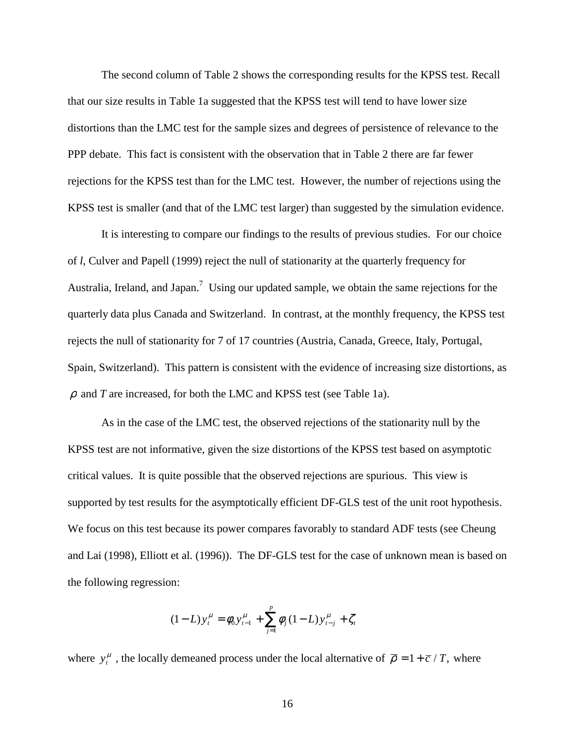The second column of Table 2 shows the corresponding results for the KPSS test. Recall that our size results in Table 1a suggested that the KPSS test will tend to have lower size distortions than the LMC test for the sample sizes and degrees of persistence of relevance to the PPP debate. This fact is consistent with the observation that in Table 2 there are far fewer rejections for the KPSS test than for the LMC test. However, the number of rejections using the KPSS test is smaller (and that of the LMC test larger) than suggested by the simulation evidence.

It is interesting to compare our findings to the results of previous studies. For our choice of *l*, Culver and Papell (1999) reject the null of stationarity at the quarterly frequency for Australia, Ireland, and Japan.<sup>7</sup> Using our updated sample, we obtain the same rejections for the quarterly data plus Canada and Switzerland. In contrast, at the monthly frequency, the KPSS test rejects the null of stationarity for 7 of 17 countries (Austria, Canada, Greece, Italy, Portugal, Spain, Switzerland). This pattern is consistent with the evidence of increasing size distortions, as  $\rho$  and *T* are increased, for both the LMC and KPSS test (see Table 1a).

As in the case of the LMC test, the observed rejections of the stationarity null by the KPSS test are not informative, given the size distortions of the KPSS test based on asymptotic critical values. It is quite possible that the observed rejections are spurious. This view is supported by test results for the asymptotically efficient DF-GLS test of the unit root hypothesis. We focus on this test because its power compares favorably to standard ADF tests (see Cheung and Lai (1998), Elliott et al. (1996)). The DF-GLS test for the case of unknown mean is based on the following regression:

$$
(1 - L)y_t^{\mu} = \phi_0 y_{t-1}^{\mu} + \sum_{j=1}^{p} \phi_j (1 - L) y_{t-j}^{\mu} + \zeta_t
$$

where  $y_t^{\mu}$ , the locally demeaned process under the local alternative of  $\bar{\rho} = 1 + \bar{c}/T$ , where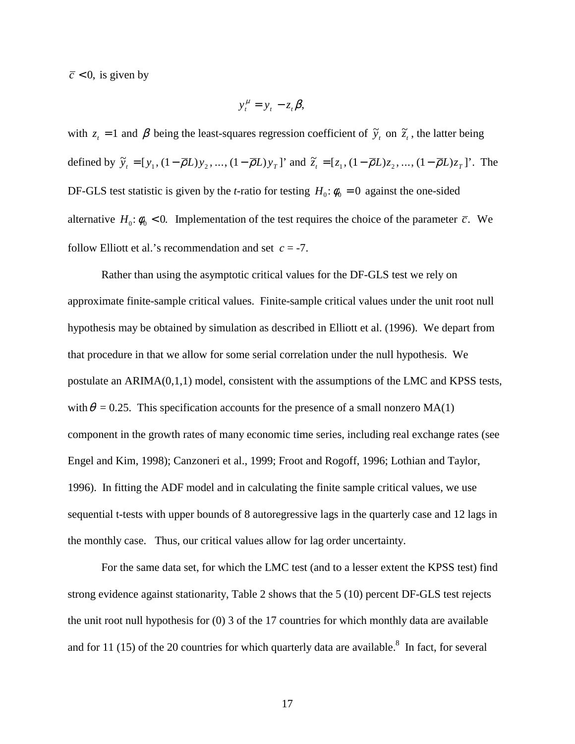$\overline{c}$  < 0, is given by

$$
y_t^{\mu} = y_t - z_t \beta,
$$

with  $z_t = 1$  and  $\beta$  being the least-squares regression coefficient of  $\tilde{y}_t$  on  $\tilde{z}_t$ , the latter being defined by  $\tilde{y}_t = [y_1, (1 - \overline{\rho}L)y_2, ..., (1 - \overline{\rho}L)y_T]$  and  $\tilde{z}_t = [z_1, (1 - \overline{\rho}L)z_2, ..., (1 - \overline{\rho}L)z_T]$ . The DF-GLS test statistic is given by the *t*-ratio for testing  $H_0: \phi_0 = 0$  against the one-sided alternative  $H_0: \phi_0 < 0$ . Implementation of the test requires the choice of the parameter  $\bar{c}$ . We follow Elliott et al.'s recommendation and set  $c = -7$ .

Rather than using the asymptotic critical values for the DF-GLS test we rely on approximate finite-sample critical values. Finite-sample critical values under the unit root null hypothesis may be obtained by simulation as described in Elliott et al. (1996). We depart from that procedure in that we allow for some serial correlation under the null hypothesis. We postulate an ARIMA(0,1,1) model, consistent with the assumptions of the LMC and KPSS tests, with  $\theta = 0.25$ . This specification accounts for the presence of a small nonzero MA(1) component in the growth rates of many economic time series, including real exchange rates (see Engel and Kim, 1998); Canzoneri et al., 1999; Froot and Rogoff, 1996; Lothian and Taylor, 1996). In fitting the ADF model and in calculating the finite sample critical values, we use sequential t-tests with upper bounds of 8 autoregressive lags in the quarterly case and 12 lags in the monthly case. Thus, our critical values allow for lag order uncertainty.

For the same data set, for which the LMC test (and to a lesser extent the KPSS test) find strong evidence against stationarity, Table 2 shows that the 5 (10) percent DF-GLS test rejects the unit root null hypothesis for (0) 3 of the 17 countries for which monthly data are available and for 11 (15) of the 20 countries for which quarterly data are available.<sup>8</sup> In fact, for several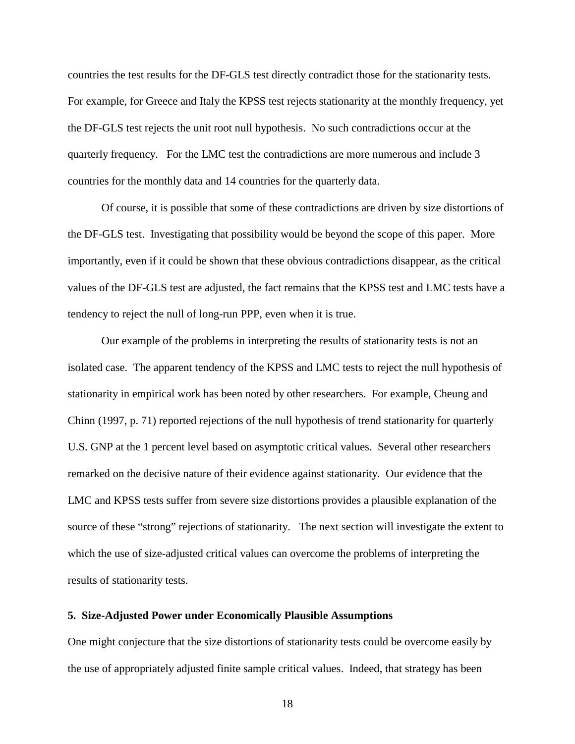countries the test results for the DF-GLS test directly contradict those for the stationarity tests. For example, for Greece and Italy the KPSS test rejects stationarity at the monthly frequency, yet the DF-GLS test rejects the unit root null hypothesis. No such contradictions occur at the quarterly frequency. For the LMC test the contradictions are more numerous and include 3 countries for the monthly data and 14 countries for the quarterly data.

Of course, it is possible that some of these contradictions are driven by size distortions of the DF-GLS test. Investigating that possibility would be beyond the scope of this paper. More importantly, even if it could be shown that these obvious contradictions disappear, as the critical values of the DF-GLS test are adjusted, the fact remains that the KPSS test and LMC tests have a tendency to reject the null of long-run PPP, even when it is true.

Our example of the problems in interpreting the results of stationarity tests is not an isolated case. The apparent tendency of the KPSS and LMC tests to reject the null hypothesis of stationarity in empirical work has been noted by other researchers. For example, Cheung and Chinn (1997, p. 71) reported rejections of the null hypothesis of trend stationarity for quarterly U.S. GNP at the 1 percent level based on asymptotic critical values. Several other researchers remarked on the decisive nature of their evidence against stationarity. Our evidence that the LMC and KPSS tests suffer from severe size distortions provides a plausible explanation of the source of these "strong" rejections of stationarity. The next section will investigate the extent to which the use of size-adjusted critical values can overcome the problems of interpreting the results of stationarity tests.

#### **5. Size-Adjusted Power under Economically Plausible Assumptions**

One might conjecture that the size distortions of stationarity tests could be overcome easily by the use of appropriately adjusted finite sample critical values. Indeed, that strategy has been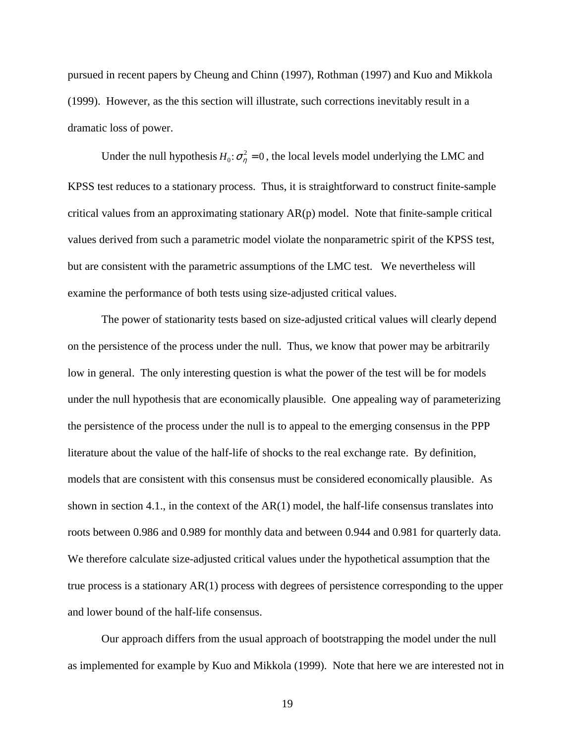pursued in recent papers by Cheung and Chinn (1997), Rothman (1997) and Kuo and Mikkola (1999). However, as the this section will illustrate, such corrections inevitably result in a dramatic loss of power.

Under the null hypothesis  $H_0: \sigma_\eta^2 = 0$ , the local levels model underlying the LMC and KPSS test reduces to a stationary process. Thus, it is straightforward to construct finite-sample critical values from an approximating stationary  $AR(p)$  model. Note that finite-sample critical values derived from such a parametric model violate the nonparametric spirit of the KPSS test, but are consistent with the parametric assumptions of the LMC test. We nevertheless will examine the performance of both tests using size-adjusted critical values.

The power of stationarity tests based on size-adjusted critical values will clearly depend on the persistence of the process under the null. Thus, we know that power may be arbitrarily low in general. The only interesting question is what the power of the test will be for models under the null hypothesis that are economically plausible. One appealing way of parameterizing the persistence of the process under the null is to appeal to the emerging consensus in the PPP literature about the value of the half-life of shocks to the real exchange rate. By definition, models that are consistent with this consensus must be considered economically plausible. As shown in section 4.1., in the context of the AR(1) model, the half-life consensus translates into roots between 0.986 and 0.989 for monthly data and between 0.944 and 0.981 for quarterly data. We therefore calculate size-adjusted critical values under the hypothetical assumption that the true process is a stationary AR(1) process with degrees of persistence corresponding to the upper and lower bound of the half-life consensus.

Our approach differs from the usual approach of bootstrapping the model under the null as implemented for example by Kuo and Mikkola (1999). Note that here we are interested not in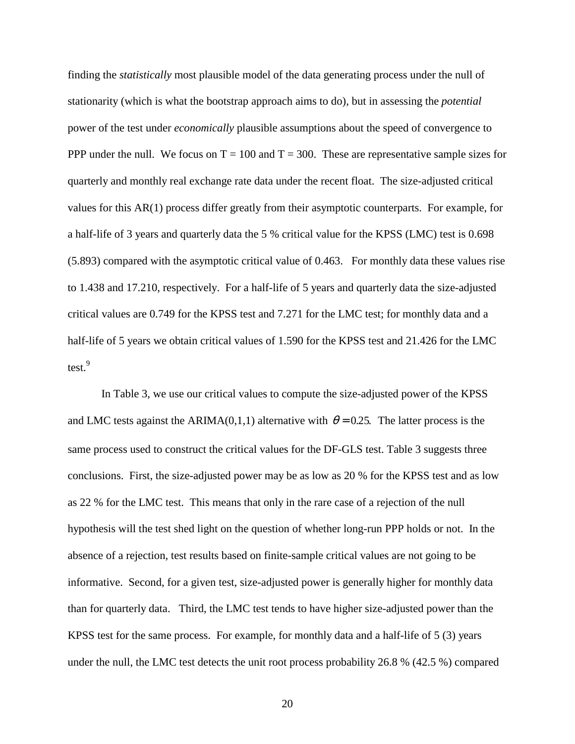finding the *statistically* most plausible model of the data generating process under the null of stationarity (which is what the bootstrap approach aims to do), but in assessing the *potential* power of the test under *economically* plausible assumptions about the speed of convergence to PPP under the null. We focus on  $T = 100$  and  $T = 300$ . These are representative sample sizes for quarterly and monthly real exchange rate data under the recent float. The size-adjusted critical values for this AR(1) process differ greatly from their asymptotic counterparts. For example, for a half-life of 3 years and quarterly data the 5 % critical value for the KPSS (LMC) test is 0.698 (5.893) compared with the asymptotic critical value of 0.463. For monthly data these values rise to 1.438 and 17.210, respectively. For a half-life of 5 years and quarterly data the size-adjusted critical values are 0.749 for the KPSS test and 7.271 for the LMC test; for monthly data and a half-life of 5 years we obtain critical values of 1.590 for the KPSS test and 21.426 for the LMC test.<sup>9</sup>

In Table 3, we use our critical values to compute the size-adjusted power of the KPSS and LMC tests against the ARIMA(0,1,1) alternative with  $\theta = 0.25$ . The latter process is the same process used to construct the critical values for the DF-GLS test. Table 3 suggests three conclusions. First, the size-adjusted power may be as low as 20 % for the KPSS test and as low as 22 % for the LMC test. This means that only in the rare case of a rejection of the null hypothesis will the test shed light on the question of whether long-run PPP holds or not. In the absence of a rejection, test results based on finite-sample critical values are not going to be informative. Second, for a given test, size-adjusted power is generally higher for monthly data than for quarterly data. Third, the LMC test tends to have higher size-adjusted power than the KPSS test for the same process. For example, for monthly data and a half-life of 5 (3) years under the null, the LMC test detects the unit root process probability 26.8 % (42.5 %) compared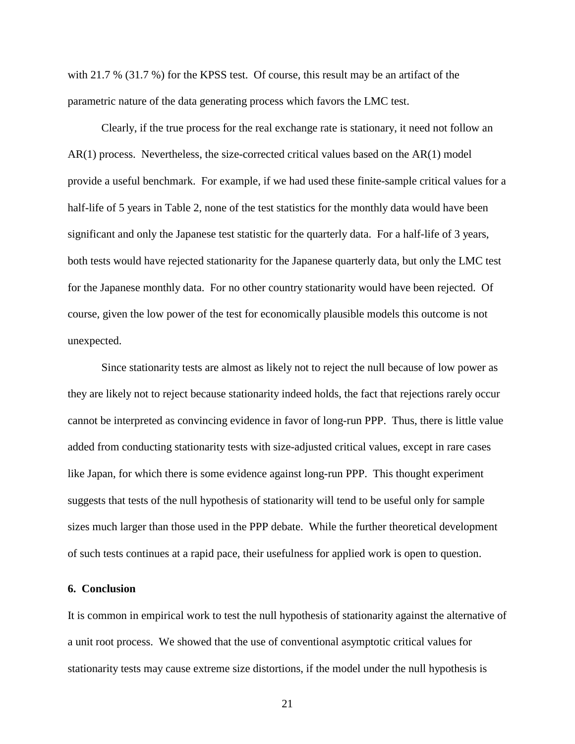with 21.7 % (31.7 %) for the KPSS test. Of course, this result may be an artifact of the parametric nature of the data generating process which favors the LMC test.

Clearly, if the true process for the real exchange rate is stationary, it need not follow an AR(1) process. Nevertheless, the size-corrected critical values based on the AR(1) model provide a useful benchmark. For example, if we had used these finite-sample critical values for a half-life of 5 years in Table 2, none of the test statistics for the monthly data would have been significant and only the Japanese test statistic for the quarterly data. For a half-life of 3 years, both tests would have rejected stationarity for the Japanese quarterly data, but only the LMC test for the Japanese monthly data. For no other country stationarity would have been rejected. Of course, given the low power of the test for economically plausible models this outcome is not unexpected.

Since stationarity tests are almost as likely not to reject the null because of low power as they are likely not to reject because stationarity indeed holds, the fact that rejections rarely occur cannot be interpreted as convincing evidence in favor of long-run PPP. Thus, there is little value added from conducting stationarity tests with size-adjusted critical values, except in rare cases like Japan, for which there is some evidence against long-run PPP. This thought experiment suggests that tests of the null hypothesis of stationarity will tend to be useful only for sample sizes much larger than those used in the PPP debate. While the further theoretical development of such tests continues at a rapid pace, their usefulness for applied work is open to question.

#### **6. Conclusion**

It is common in empirical work to test the null hypothesis of stationarity against the alternative of a unit root process. We showed that the use of conventional asymptotic critical values for stationarity tests may cause extreme size distortions, if the model under the null hypothesis is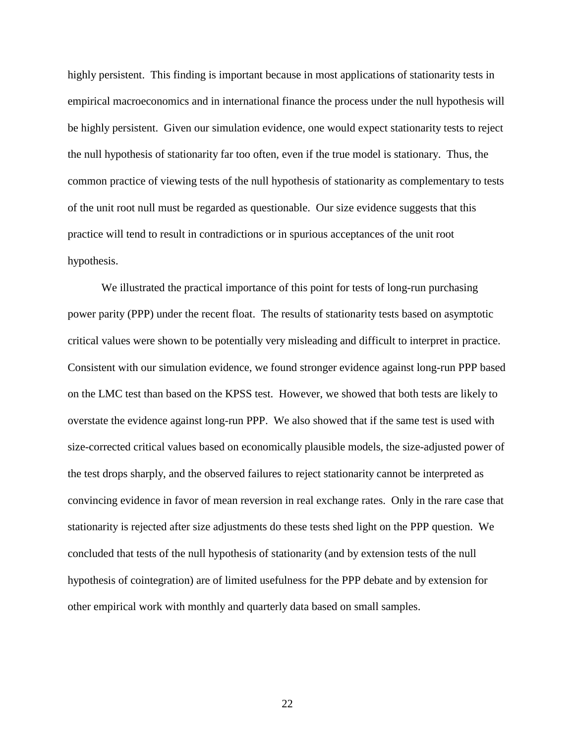highly persistent. This finding is important because in most applications of stationarity tests in empirical macroeconomics and in international finance the process under the null hypothesis will be highly persistent. Given our simulation evidence, one would expect stationarity tests to reject the null hypothesis of stationarity far too often, even if the true model is stationary. Thus, the common practice of viewing tests of the null hypothesis of stationarity as complementary to tests of the unit root null must be regarded as questionable. Our size evidence suggests that this practice will tend to result in contradictions or in spurious acceptances of the unit root hypothesis.

We illustrated the practical importance of this point for tests of long-run purchasing power parity (PPP) under the recent float. The results of stationarity tests based on asymptotic critical values were shown to be potentially very misleading and difficult to interpret in practice. Consistent with our simulation evidence, we found stronger evidence against long-run PPP based on the LMC test than based on the KPSS test. However, we showed that both tests are likely to overstate the evidence against long-run PPP. We also showed that if the same test is used with size-corrected critical values based on economically plausible models, the size-adjusted power of the test drops sharply, and the observed failures to reject stationarity cannot be interpreted as convincing evidence in favor of mean reversion in real exchange rates. Only in the rare case that stationarity is rejected after size adjustments do these tests shed light on the PPP question. We concluded that tests of the null hypothesis of stationarity (and by extension tests of the null hypothesis of cointegration) are of limited usefulness for the PPP debate and by extension for other empirical work with monthly and quarterly data based on small samples.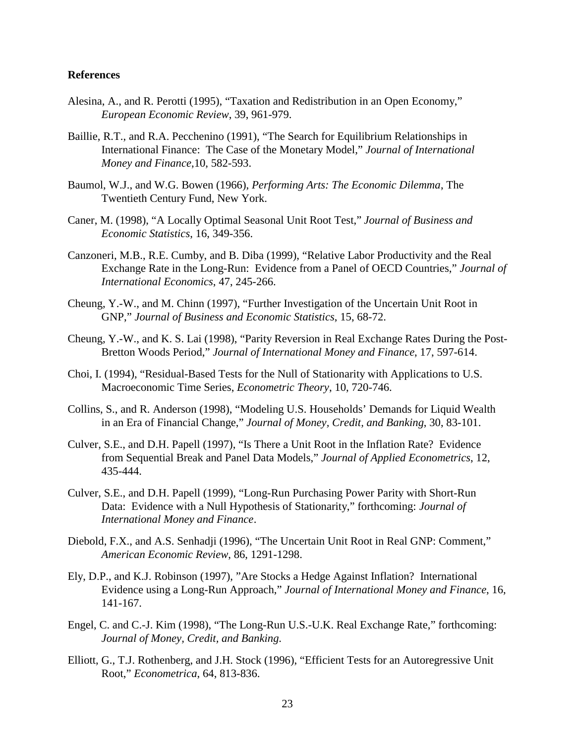#### **References**

- Alesina, A., and R. Perotti (1995), "Taxation and Redistribution in an Open Economy," *European Economic Review*, 39, 961-979.
- Baillie, R.T., and R.A. Pecchenino (1991), "The Search for Equilibrium Relationships in International Finance: The Case of the Monetary Model," *Journal of International Money and Finance*,10, 582-593.
- Baumol, W.J., and W.G. Bowen (1966), *Performing Arts: The Economic Dilemma*, The Twentieth Century Fund, New York.
- Caner, M. (1998), "A Locally Optimal Seasonal Unit Root Test," *Journal of Business and Economic Statistics*, 16, 349-356.
- Canzoneri, M.B., R.E. Cumby, and B. Diba (1999), "Relative Labor Productivity and the Real Exchange Rate in the Long-Run: Evidence from a Panel of OECD Countries," *Journal of International Economics*, 47, 245-266.
- Cheung, Y.-W., and M. Chinn (1997), "Further Investigation of the Uncertain Unit Root in GNP," *Journal of Business and Economic Statistics*, 15, 68-72.
- Cheung, Y.-W., and K. S. Lai (1998), "Parity Reversion in Real Exchange Rates During the Post-Bretton Woods Period," *Journal of International Money and Finance*, 17, 597-614.
- Choi, I. (1994), "Residual-Based Tests for the Null of Stationarity with Applications to U.S. Macroeconomic Time Series, *Econometric Theory*, 10, 720-746.
- Collins, S., and R. Anderson (1998), "Modeling U.S. Households' Demands for Liquid Wealth in an Era of Financial Change," *Journal of Money, Credit, and Banking*, 30, 83-101.
- Culver, S.E., and D.H. Papell (1997), "Is There a Unit Root in the Inflation Rate? Evidence from Sequential Break and Panel Data Models," *Journal of Applied Econometrics*, 12, 435-444.
- Culver, S.E., and D.H. Papell (1999), "Long-Run Purchasing Power Parity with Short-Run Data: Evidence with a Null Hypothesis of Stationarity," forthcoming: *Journal of International Money and Finance*.
- Diebold, F.X., and A.S. Senhadji (1996), "The Uncertain Unit Root in Real GNP: Comment," *American Economic Review*, 86, 1291-1298.
- Ely, D.P., and K.J. Robinson (1997), "Are Stocks a Hedge Against Inflation? International Evidence using a Long-Run Approach," *Journal of International Money and Finance*, 16, 141-167.
- Engel, C. and C.-J. Kim (1998), "The Long-Run U.S.-U.K. Real Exchange Rate," forthcoming: *Journal of Money, Credit, and Banking*.
- Elliott, G., T.J. Rothenberg, and J.H. Stock (1996), "Efficient Tests for an Autoregressive Unit Root," *Econometrica*, 64, 813-836.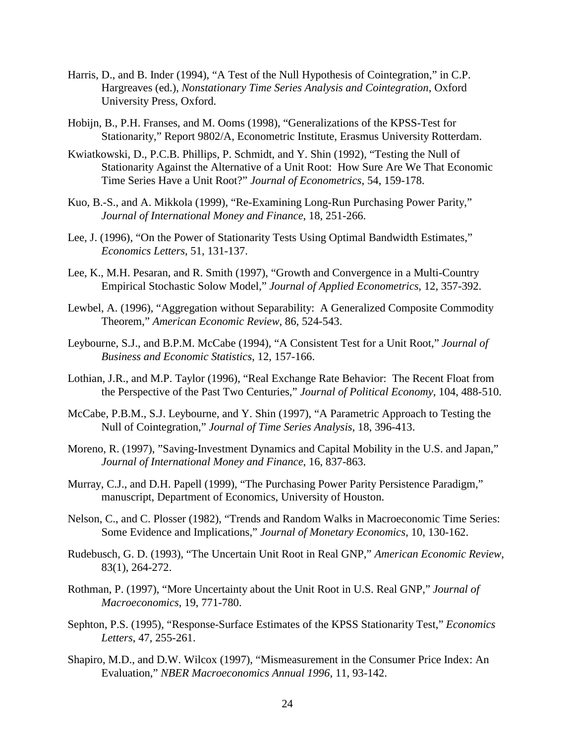- Harris, D., and B. Inder (1994), "A Test of the Null Hypothesis of Cointegration," in C.P. Hargreaves (ed.), *Nonstationary Time Series Analysis and Cointegration*, Oxford University Press, Oxford.
- Hobijn, B., P.H. Franses, and M. Ooms (1998), "Generalizations of the KPSS-Test for Stationarity," Report 9802/A, Econometric Institute, Erasmus University Rotterdam.
- Kwiatkowski, D., P.C.B. Phillips, P. Schmidt, and Y. Shin (1992), "Testing the Null of Stationarity Against the Alternative of a Unit Root: How Sure Are We That Economic Time Series Have a Unit Root?" *Journal of Econometrics*, 54, 159-178.
- Kuo, B.-S., and A. Mikkola (1999), "Re-Examining Long-Run Purchasing Power Parity," *Journal of International Money and Finance*, 18, 251-266.
- Lee, J. (1996), "On the Power of Stationarity Tests Using Optimal Bandwidth Estimates," *Economics Letters*, 51, 131-137.
- Lee, K., M.H. Pesaran, and R. Smith (1997), "Growth and Convergence in a Multi-Country Empirical Stochastic Solow Model," *Journal of Applied Econometrics*, 12, 357-392.
- Lewbel, A. (1996), "Aggregation without Separability: A Generalized Composite Commodity Theorem," *American Economic Review*, 86, 524-543.
- Leybourne, S.J., and B.P.M. McCabe (1994), "A Consistent Test for a Unit Root," *Journal of Business and Economic Statistics*, 12, 157-166.
- Lothian, J.R., and M.P. Taylor (1996), "Real Exchange Rate Behavior: The Recent Float from the Perspective of the Past Two Centuries," *Journal of Political Economy*, 104, 488-510.
- McCabe, P.B.M., S.J. Leybourne, and Y. Shin (1997), "A Parametric Approach to Testing the Null of Cointegration," *Journal of Time Series Analysis*, 18, 396-413.
- Moreno, R. (1997), "Saving-Investment Dynamics and Capital Mobility in the U.S. and Japan," *Journal of International Money and Finance*, 16, 837-863.
- Murray, C.J., and D.H. Papell (1999), "The Purchasing Power Parity Persistence Paradigm," manuscript, Department of Economics, University of Houston.
- Nelson, C., and C. Plosser (1982), "Trends and Random Walks in Macroeconomic Time Series: Some Evidence and Implications," *Journal of Monetary Economics*, 10, 130-162.
- Rudebusch, G. D. (1993), "The Uncertain Unit Root in Real GNP," *American Economic Review*, 83(1), 264-272.
- Rothman, P. (1997), "More Uncertainty about the Unit Root in U.S. Real GNP," *Journal of Macroeconomics*, 19, 771-780.
- Sephton, P.S. (1995), "Response-Surface Estimates of the KPSS Stationarity Test," *Economics Letters*, 47, 255-261.
- Shapiro, M.D., and D.W. Wilcox (1997), "Mismeasurement in the Consumer Price Index: An Evaluation," *NBER Macroeconomics Annual 1996*, 11, 93-142.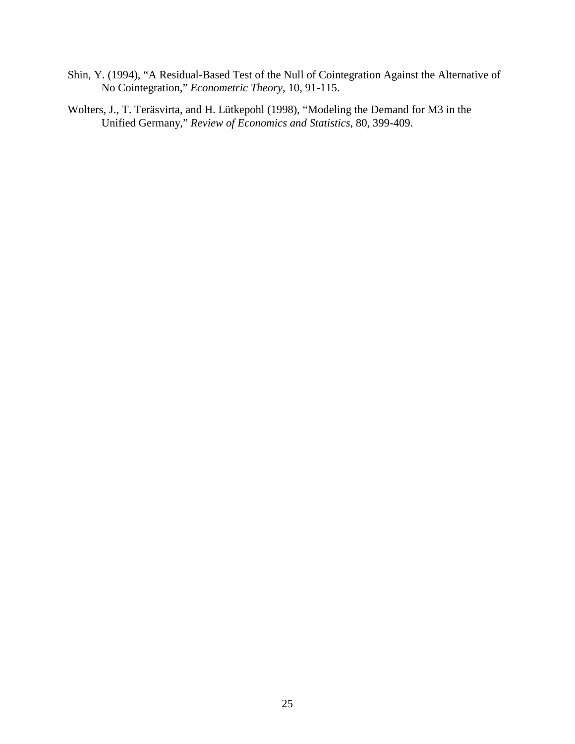- Shin, Y. (1994), "A Residual-Based Test of the Null of Cointegration Against the Alternative of No Cointegration," *Econometric Theory*, 10, 91-115.
- Wolters, J., T. Teräsvirta, and H. Lütkepohl (1998), "Modeling the Demand for M3 in the Unified Germany," *Review of Economics and Statistics*, 80, 399-409.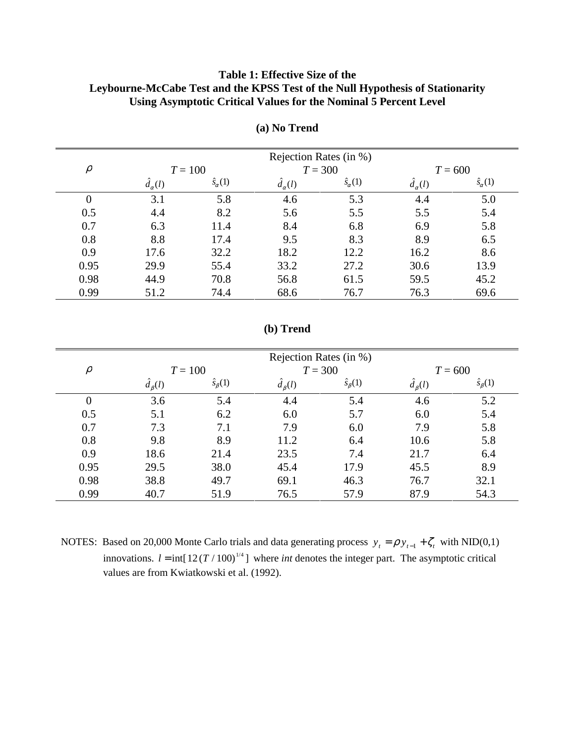## **Table 1: Effective Size of the Leybourne-McCabe Test and the KPSS Test of the Null Hypothesis of Stationarity Using Asymptotic Critical Values for the Nominal 5 Percent Level**

|        | Rejection Rates (in %) |                       |                 |                       |                 |                       |
|--------|------------------------|-----------------------|-----------------|-----------------------|-----------------|-----------------------|
| $\rho$ |                        | $T = 100$             | $T = 300$       |                       | $T = 600$       |                       |
|        | $d_{\alpha}(l)$        | $\hat{s}_{\alpha}(1)$ | $d_{\alpha}(l)$ | $\hat{s}_{\alpha}(1)$ | $d_{\alpha}(l)$ | $\hat{s}_{\alpha}(1)$ |
|        | 3.1                    | 5.8                   | 4.6             | 5.3                   | 4.4             | 5.0                   |
| 0.5    | 4.4                    | 8.2                   | 5.6             | 5.5                   | 5.5             | 5.4                   |
| 0.7    | 6.3                    | 11.4                  | 8.4             | 6.8                   | 6.9             | 5.8                   |
| 0.8    | 8.8                    | 17.4                  | 9.5             | 8.3                   | 8.9             | 6.5                   |
| 0.9    | 17.6                   | 32.2                  | 18.2            | 12.2                  | 16.2            | 8.6                   |
| 0.95   | 29.9                   | 55.4                  | 33.2            | 27.2                  | 30.6            | 13.9                  |
| 0.98   | 44.9                   | 70.8                  | 56.8            | 61.5                  | 59.5            | 45.2                  |
| 0.99   | 51.2                   | 74.4                  | 68.6            | 76.7                  | 76.3            | 69.6                  |

**(a) No Trend**

## **(b) Trend**

|                | Rejection Rates (in %) |                        |                |                      |                |                      |
|----------------|------------------------|------------------------|----------------|----------------------|----------------|----------------------|
| $\rho$         |                        | $T = 300$<br>$T = 100$ |                | $T = 600$            |                |                      |
|                | $d_{\beta}(l)$         | $\hat{s}_{\beta}(1)$   | $d_{\beta}(l)$ | $\hat{s}_{\beta}(1)$ | $d_{\beta}(l)$ | $\hat{s}_{\beta}(1)$ |
| $\overline{0}$ | 3.6                    | 5.4                    | 4.4            | 5.4                  | 4.6            | 5.2                  |
| 0.5            | 5.1                    | 6.2                    | 6.0            | 5.7                  | 6.0            | 5.4                  |
| 0.7            | 7.3                    | 7.1                    | 7.9            | 6.0                  | 7.9            | 5.8                  |
| 0.8            | 9.8                    | 8.9                    | 11.2           | 6.4                  | 10.6           | 5.8                  |
| 0.9            | 18.6                   | 21.4                   | 23.5           | 7.4                  | 21.7           | 6.4                  |
| 0.95           | 29.5                   | 38.0                   | 45.4           | 17.9                 | 45.5           | 8.9                  |
| 0.98           | 38.8                   | 49.7                   | 69.1           | 46.3                 | 76.7           | 32.1                 |
| 0.99           | 40.7                   | 51.9                   | 76.5           | 57.9                 | 87.9           | 54.3                 |

NOTES: Based on 20,000 Monte Carlo trials and data generating process  $y_t = \rho y_{t-1} + \zeta_t$  with NID(0,1) innovations.  $l = \text{int}[12(T/100)^{1/4}]$  where *int* denotes the integer part. The asymptotic critical values are from Kwiatkowski et al. (1992).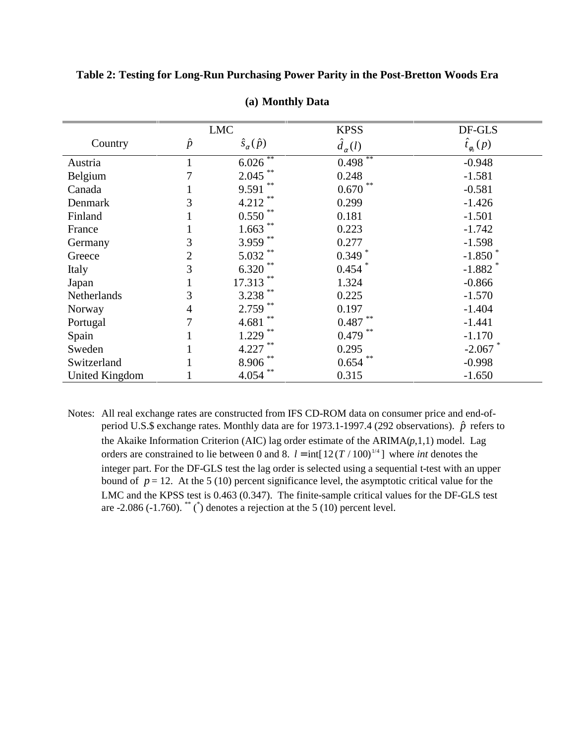**Table 2: Testing for Long-Run Purchasing Power Parity in the Post-Bretton Woods Era**

|                       |           | <b>LMC</b>                  | <b>KPSS</b>           | DF-GLS                |
|-----------------------|-----------|-----------------------------|-----------------------|-----------------------|
| Country               | $\hat{p}$ | $\hat{s}_{\alpha}(\hat{p})$ | $\hat{d}_{\alpha}(l)$ | $\hat{t}_{\phi_0}(p)$ |
| Austria               |           | **<br>6.026                 | **<br>0.498           | $-0.948$              |
| Belgium               |           | $2.045$ **                  | 0.248                 | $-1.581$              |
| Canada                |           | **<br>9.591                 | **<br>0.670           | $-0.581$              |
| Denmark               | 3         | 4.212                       | 0.299                 | $-1.426$              |
| Finland               |           | 0.550                       | 0.181                 | $-1.501$              |
| France                |           | 1.663                       | 0.223                 | $-1.742$              |
| Germany               | 3         | 3.959 **                    | 0.277                 | $-1.598$              |
| Greece                | 2         | 5.032                       | $0.349$ *             | $-1.850$              |
| Italy                 | 3         | 6.320                       | $0.454$ *             | $-1.882$ *            |
| Japan                 |           | **<br>17.313                | 1.324                 | $-0.866$              |
| Netherlands           | 3         | $3.238$ **                  | 0.225                 | $-1.570$              |
| Norway                | 4         | 2.759                       | 0.197                 | $-1.404$              |
| Portugal              |           | **<br>4.681                 | **<br>0.487           | $-1.441$              |
| Spain                 |           | 1.229                       | **<br>0.479           | $-1.170$              |
| Sweden                |           | 4.227                       | 0.295                 | $-2.067$ *            |
| Switzerland           |           | 8.906                       | 0.654                 | $-0.998$              |
| <b>United Kingdom</b> |           | **<br>4.054                 | 0.315                 | $-1.650$              |

**(a) Monthly Data**

Notes: All real exchange rates are constructed from IFS CD-ROM data on consumer price and end-ofperiod U.S.\$ exchange rates. Monthly data are for 1973.1-1997.4 (292 observations).  $\hat{p}$  refers to the Akaike Information Criterion (AIC) lag order estimate of the ARIMA(*p*,1,1) model. Lag orders are constrained to lie between 0 and 8.  $l = \text{int}[12(T/100)^{1/4}]$  where *int* denotes the integer part. For the DF-GLS test the lag order is selected using a sequential t-test with an upper bound of  $p = 12$ . At the 5 (10) percent significance level, the asymptotic critical value for the LMC and the KPSS test is 0.463 (0.347). The finite-sample critical values for the DF-GLS test are  $-2.086$  ( $-1.760$ ). <sup>\*\*</sup> ( $\check{\ }$ ) denotes a rejection at the 5 (10) percent level.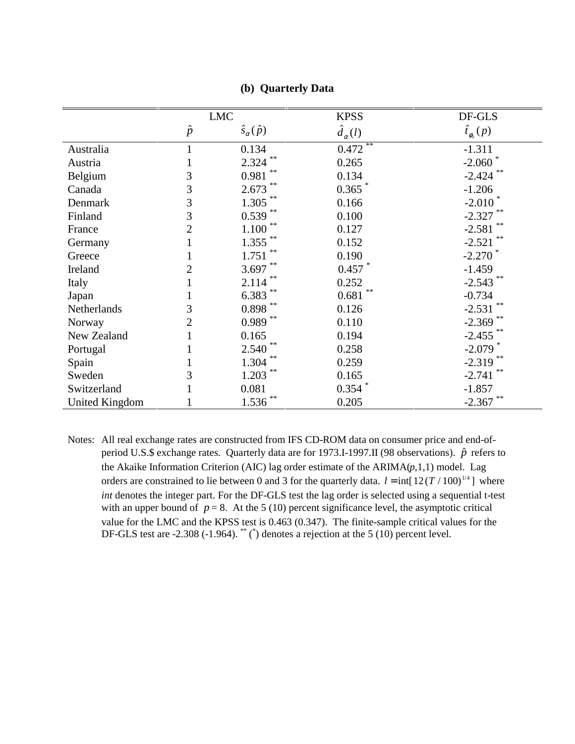|                       |                | <b>LMC</b>                  | <b>KPSS</b>           | DF-GLS                |
|-----------------------|----------------|-----------------------------|-----------------------|-----------------------|
|                       | $\hat{p}$      | $\hat{s}_{\alpha}(\hat{p})$ | $\hat{d}_{\alpha}(l)$ | $\hat{t}_{\phi_0}(p)$ |
| Australia             |                | 0.134                       | **<br>0.472           | $-1.311$              |
| Austria               |                | **<br>2.324                 | 0.265                 | $-2.060$ *            |
| Belgium               | 3              | **<br>0.981                 | 0.134                 | $-2.424$ **           |
| Canada                | 3              | **<br>2.673                 | $0.365$ *             | $-1.206$              |
| Denmark               | 3              | 1.305                       | 0.166                 | $-2.010$              |
| Finland               | 3              | $0.539$ **                  | 0.100                 | $-2.327$ **           |
| France                | $\overline{2}$ | 1.100                       | 0.127                 | $-2.581$              |
| Germany               |                | 1.355                       | 0.152                 | $-2.521$ **           |
| Greece                |                | 1.751                       | 0.190                 | $-2.270$ $*$          |
| Ireland               | 2              | $3.697$ **                  | $0.457$ $*$           | $-1.459$              |
| Italy                 |                | 2.114                       | 0.252                 | $-2.543$ **           |
| Japan                 |                | $6.383$ **                  | **<br>0.681           | $-0.734$              |
| Netherlands           | 3              | $0.898$ $^{\ast\ast}$       | 0.126                 | $-2.531$ **           |
| Norway                | $\overline{2}$ | $0.989$ **                  | 0.110                 | $-2.369$ **           |
| New Zealand           |                | 0.165                       | 0.194                 | $-2.455$ **           |
| Portugal              |                | **<br>2.540                 | 0.258                 | $-2.079$ <sup>*</sup> |
| Spain                 |                | $**$<br>1.304               | 0.259                 | $-2.319$              |
| Sweden                | 3              | **<br>1.203                 | 0.165                 | **<br>$-2.741$        |
| Switzerland           |                | 0.081                       | $0.354$ $*$           | $-1.857$              |
| <b>United Kingdom</b> |                | **<br>1.536                 | 0.205                 | $-2.367$              |

#### **(b) Quarterly Data**

Notes: All real exchange rates are constructed from IFS CD-ROM data on consumer price and end-ofperiod U.S.\$ exchange rates. Quarterly data are for 1973.I-1997.II (98 observations).  $\hat{p}$  refers to the Akaike Information Criterion (AIC) lag order estimate of the ARIMA(*p*,1,1) model. Lag orders are constrained to lie between 0 and 3 for the quarterly data.  $l = \text{int}[12(T/100)^{1/4}]$  where *int* denotes the integer part. For the DF-GLS test the lag order is selected using a sequential t-test with an upper bound of  $p = 8$ . At the 5 (10) percent significance level, the asymptotic critical value for the LMC and the KPSS test is 0.463 (0.347). The finite-sample critical values for the DF-GLS test are  $-2.308$  ( $-1.964$ ). \*\*\* (\*) denotes a rejection at the 5 (10) percent level.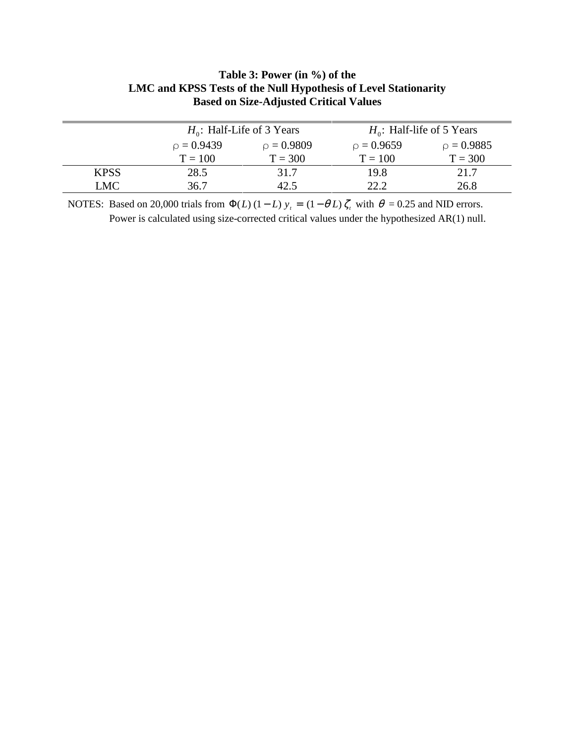| LIMU and KPSS Tests of the Null Hypothesis of Level Stationarity<br><b>Based on Size-Adjusted Critical Values</b> |                 |                              |                              |              |  |  |
|-------------------------------------------------------------------------------------------------------------------|-----------------|------------------------------|------------------------------|--------------|--|--|
|                                                                                                                   |                 | $H_0$ : Half-Life of 3 Years | $H_0$ : Half-life of 5 Years |              |  |  |
|                                                                                                                   | $\rho = 0.9439$ | $p = 0.9809$                 | $p = 0.9659$                 | $p = 0.9885$ |  |  |
|                                                                                                                   | $T = 100$       | $T = 300$                    | $T = 100$                    | $T = 300$    |  |  |
| <b>KPSS</b>                                                                                                       | 28.5            | 317                          | 19.8                         | 21 7         |  |  |

# **Table 3: Power (in %) of the LMC and KPSS Tests of the Null Hypothesis of Level Stationarity**

NOTES: Based on 20,000 trials from  $\Phi(L)$  (1 – L)  $y_t = (1 - \theta L) \zeta_t$  with  $\theta = 0.25$  and NID errors. Power is calculated using size-corrected critical values under the hypothesized AR(1) null.

LMC 36.7 42.5 22.2 26.8